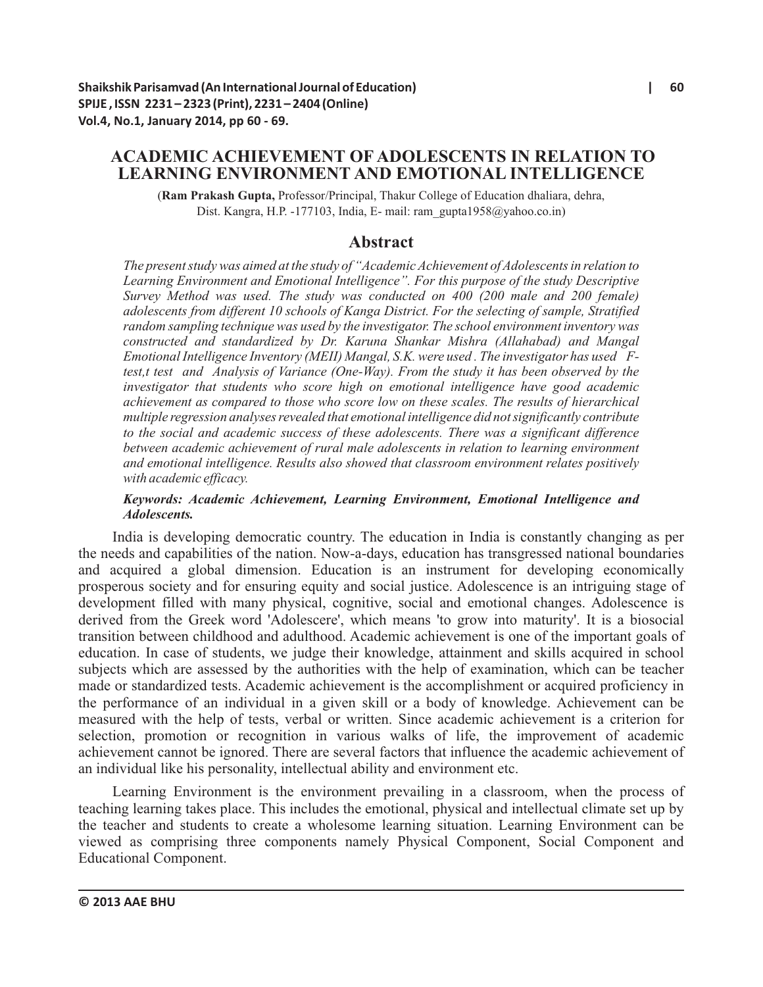# **ACADEMIC ACHIEVEMENT OF ADOLESCENTS IN RELATION TO LEARNING ENVIRONMENT AND EMOTIONAL INTELLIGENCE**

(**Ram Prakash Gupta,** Professor/Principal, Thakur College of Education dhaliara, dehra, Dist. Kangra, H.P. -177103, India, E- mail: ram\_gupta1958@yahoo.co.in)

## **Abstract**

*The present study was aimed at the study of "Academic Achievement of Adolescents in relation to Learning Environment and Emotional Intelligence". For this purpose of the study Descriptive Survey Method was used. The study was conducted on 400 (200 male and 200 female) adolescents from different 10 schools of Kanga District. For the selecting of sample, Stratified random sampling technique was used by the investigator. The school environment inventory was constructed and standardized by Dr. Karuna Shankar Mishra (Allahabad) and Mangal Emotional Intelligence Inventory (MEII) Mangal, S.K. were used . The investigator has used Ftest,t test and Analysis of Variance (One-Way). From the study it has been observed by the investigator that students who score high on emotional intelligence have good academic achievement as compared to those who score low on these scales. The results of hierarchical multiple regression analyses revealed that emotional intelligence did not significantly contribute to the social and academic success of these adolescents. There was a significant difference between academic achievement of rural male adolescents in relation to learning environment and emotional intelligence. Results also showed that classroom environment relates positively with academic efficacy.* 

#### *Keywords: Academic Achievement, Learning Environment, Emotional Intelligence and Adolescents.*

India is developing democratic country. The education in India is constantly changing as per the needs and capabilities of the nation. Now-a-days, education has transgressed national boundaries and acquired a global dimension. Education is an instrument for developing economically prosperous society and for ensuring equity and social justice. Adolescence is an intriguing stage of development filled with many physical, cognitive, social and emotional changes. Adolescence is derived from the Greek word 'Adolescere', which means 'to grow into maturity'. It is a biosocial transition between childhood and adulthood. Academic achievement is one of the important goals of education. In case of students, we judge their knowledge, attainment and skills acquired in school subjects which are assessed by the authorities with the help of examination, which can be teacher made or standardized tests. Academic achievement is the accomplishment or acquired proficiency in the performance of an individual in a given skill or a body of knowledge. Achievement can be measured with the help of tests, verbal or written. Since academic achievement is a criterion for selection, promotion or recognition in various walks of life, the improvement of academic achievement cannot be ignored. There are several factors that influence the academic achievement of an individual like his personality, intellectual ability and environment etc.

Learning Environment is the environment prevailing in a classroom, when the process of teaching learning takes place. This includes the emotional, physical and intellectual climate set up by the teacher and students to create a wholesome learning situation. Learning Environment can be viewed as comprising three components namely Physical Component, Social Component and Educational Component.